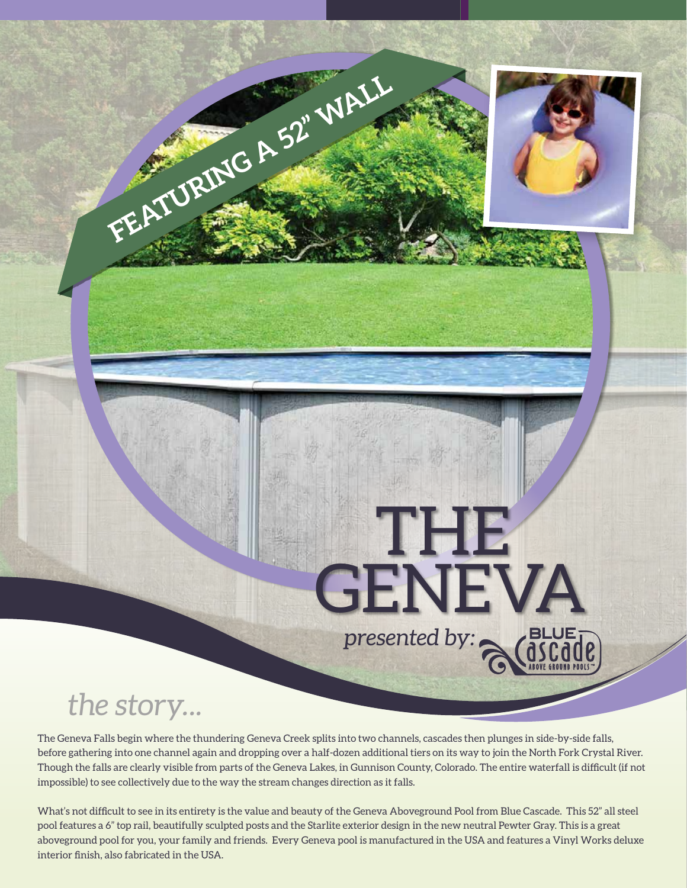## **GENEVA** *presented by:*

THE

## *the story...*

The Geneva Falls begin where the thundering Geneva Creek splits into two channels, cascades then plunges in side-by-side falls, before gathering into one channel again and dropping over a half-dozen additional tiers on its way to join the North Fork Crystal River. Though the falls are clearly visible from parts of the Geneva Lakes, in Gunnison County, Colorado. The entire waterfall is difficult (if not impossible) to see collectively due to the way the stream changes direction as it falls.

**FEATURING A 52" WALL**

What's not difficult to see in its entirety is the value and beauty of the Geneva Aboveground Pool from Blue Cascade. This 52" all steel pool features a 6" top rail, beautifully sculpted posts and the Starlite exterior design in the new neutral Pewter Gray. This is a great aboveground pool for you, your family and friends. Every Geneva pool is manufactured in the USA and features a Vinyl Works deluxe interior finish, also fabricated in the USA.